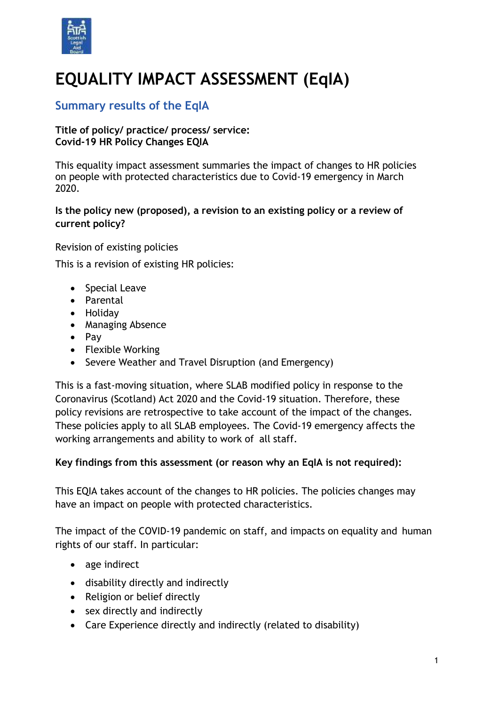

# **EQUALITY IMPACT ASSESSMENT (EqIA)**

# **Summary results of the EqIA**

## **Title of policy/ practice/ process/ service: Covid-19 HR Policy Changes EQIA**

This equality impact assessment summaries the impact of changes to HR policies on people with protected characteristics due to Covid-19 emergency in March 2020.

## **Is the policy new (proposed), a revision to an existing policy or a review of current policy?**

Revision of existing policies This is a revision of existing HR policies:

- Special Leave
- Parental
- Holidav
- Managing Absence
- $\bullet$  Pay
- Flexible Working
- Severe Weather and Travel Disruption (and Emergency)

This is a fast-moving situation, where SLAB modified policy in response to the Coronavirus (Scotland) Act 2020 and the Covid-19 situation. Therefore, these policy revisions are retrospective to take account of the impact of the changes. These policies apply to all SLAB employees. The Covid-19 emergency affects the working arrangements and ability to work of all staff.

## **Key findings from this assessment (or reason why an EqIA is not required):**

This EQIA takes account of the changes to HR policies. The policies changes may have an impact on people with protected characteristics.

The impact of the COVID-19 pandemic on staff, and impacts on equality and human rights of our staff. In particular:

- age indirect
- disability directly and indirectly
- Religion or belief directly
- sex directly and indirectly
- Care Experience directly and indirectly (related to disability)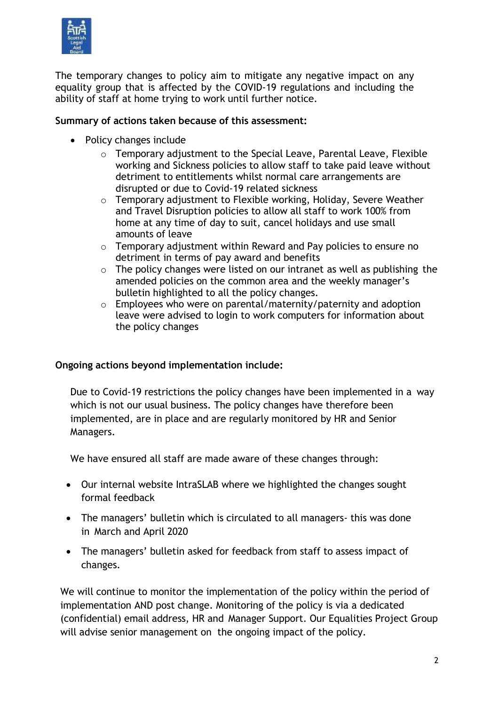

The temporary changes to policy aim to mitigate any negative impact on any equality group that is affected by the COVID-19 regulations and including the ability of staff at home trying to work until further notice.

#### **Summary of actions taken because of this assessment:**

- Policy changes include
	- o Temporary adjustment to the Special Leave, Parental Leave, Flexible working and Sickness policies to allow staff to take paid leave without detriment to entitlements whilst normal care arrangements are disrupted or due to Covid-19 related sickness
	- o Temporary adjustment to Flexible working, Holiday, Severe Weather and Travel Disruption policies to allow all staff to work 100% from home at any time of day to suit, cancel holidays and use small amounts of leave
	- $\circ$  Temporary adjustment within Reward and Pay policies to ensure no detriment in terms of pay award and benefits
	- $\circ$  The policy changes were listed on our intranet as well as publishing the amended policies on the common area and the weekly manager's bulletin highlighted to all the policy changes.
	- o Employees who were on parental/maternity/paternity and adoption leave were advised to login to work computers for information about the policy changes

## **Ongoing actions beyond implementation include:**

Due to Covid-19 restrictions the policy changes have been implemented in a way which is not our usual business. The policy changes have therefore been implemented, are in place and are regularly monitored by HR and Senior Managers.

We have ensured all staff are made aware of these changes through:

- Our internal website IntraSLAB where we highlighted the changes sought formal feedback
- The managers' bulletin which is circulated to all managers- this was done in March and April 2020
- The managers' bulletin asked for feedback from staff to assess impact of changes.

We will continue to monitor the implementation of the policy within the period of implementation AND post change. Monitoring of the policy is via a dedicated (confidential) email address, HR and Manager Support. Our Equalities Project Group will advise senior management on the ongoing impact of the policy.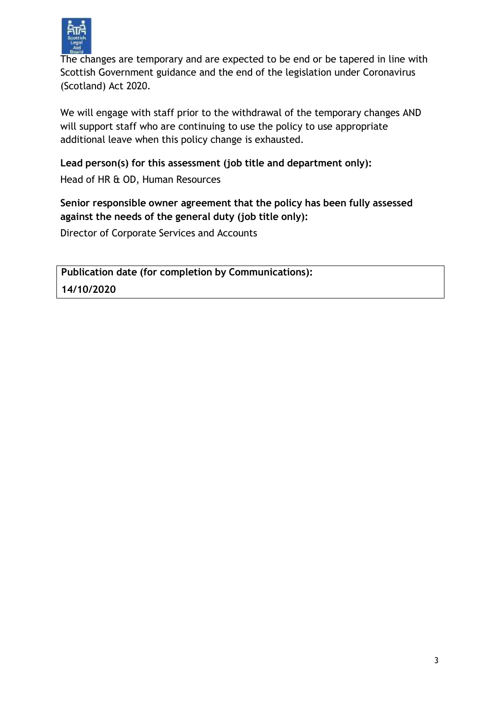

The changes are temporary and are expected to be end or be tapered in line with Scottish Government guidance and the end of the legislation under Coronavirus (Scotland) Act 2020.

We will engage with staff prior to the withdrawal of the temporary changes AND will support staff who are continuing to use the policy to use appropriate additional leave when this policy change is exhausted.

## **Lead person(s) for this assessment (job title and department only):**

Head of HR & OD, Human Resources

## **Senior responsible owner agreement that the policy has been fully assessed against the needs of the general duty (job title only):**

Director of Corporate Services and Accounts

**Publication date (for completion by Communications): 14/10/2020**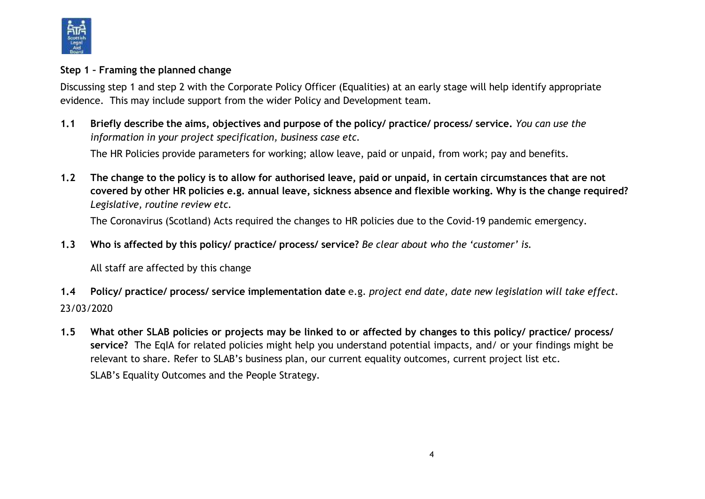

#### **Step 1 – Framing the planned change**

Discussing step 1 and step 2 with the Corporate Policy Officer (Equalities) at an early stage will help identify appropriate evidence. This may include support from the wider Policy and Development team.

1.1 Briefly describe the aims, objectives and purpose of the policy/ practice/ process/ service, You can use the *information in your project specification, business case etc.*

The HR Policies provide parameters for working; allow leave, paid or unpaid, from work; pay and benefits.

1.2 The change to the policy is to allow for authorised leave, paid or unpaid, in certain circumstances that are not covered by other HR policies e.g. annual leave, sickness absence and flexible working. Why is the change required? *Legislative, routine review etc.*

The Coronavirus (Scotland) Acts required the changes to HR policies due to the Covid-19 pandemic emergency.

**1.3 Who is affected by this policy/ practice/ process/ service?** *Be clear about who the 'customer' is.*

All staff are affected by this change

- 1.4 Policy/ practice/ process/ service implementation date e.g. project end date, date new legislation will take effect. 23/03/2020
- 1.5 What other SLAB policies or projects may be linked to or affected by changes to this policy/ practice/ process/ **service?** The EqIA for related policies might help you understand potential impacts, and/ or your findings might be relevant to share. Refer to SLAB's business plan, our current equality outcomes, current project list etc. SLAB's Equality Outcomes and the People Strategy.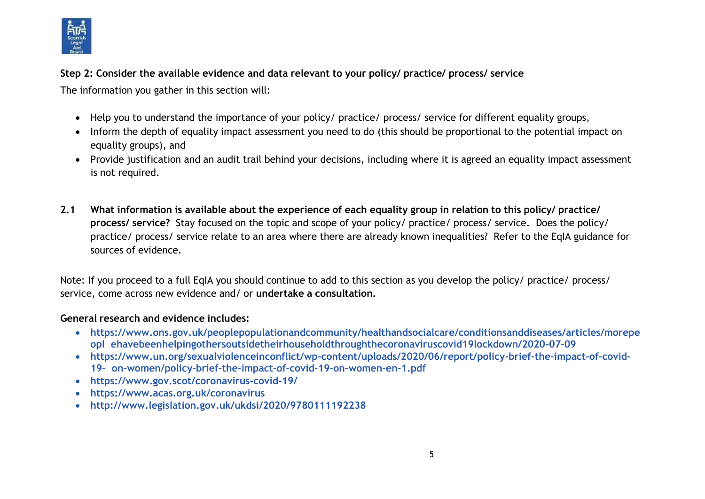

**Step 2: Consider the available evidence and data relevant to your policy/ practice/ process/ service**

The information you gather in this section will:

- Help you to understand the importance of your policy/ practice/ process/ service for different equality groups,
- Inform the depth of equality impact assessment you need to do (this should be proportional to the potential impact on equality groups), and
- Provide justification and an audit trail behind your decisions, including where it is agreed an equality impact assessment is not required.
- 2.1 What information is available about the experience of each equality group in relation to this policy/ practice/ **process/ service?** Stay focused on the topic and scope of your policy/ practice/ process/ service. Does the policy/ practice/ process/ service relate to an area where there are already known inequalities? Refer to the EqIA guidance for sources of evidence.

Note: If you proceed to a full EqIA you should continue to add to this section as you develop the policy/ practice/ process/ service, come across new evidence and/ or **undertake a consultation.**

#### **General research and evidence includes:**

- **[https://www.ons.gov.uk/peoplepopulationandcommunity/healthandsocialcare/conditionsanddiseases/articles/morepe](https://www.ons.gov.uk/peoplepopulationandcommunity/healthandsocialcare/conditionsanddiseases/articles/morepeoplehavebeenhelpingothersoutsidetheirhouseholdthroughthecoronaviruscovid19lockdown/2020-07-09) [opl](https://www.ons.gov.uk/peoplepopulationandcommunity/healthandsocialcare/conditionsanddiseases/articles/morepeoplehavebeenhelpingothersoutsidetheirhouseholdthroughthecoronaviruscovid19lockdown/2020-07-09) [ehavebeenhelpingothersoutsidetheirhouseholdthroughthecoronaviruscovid19lockdown/2020-07-09](https://www.ons.gov.uk/peoplepopulationandcommunity/healthandsocialcare/conditionsanddiseases/articles/morepeoplehavebeenhelpingothersoutsidetheirhouseholdthroughthecoronaviruscovid19lockdown/2020-07-09)**
- **[https://www.un.org/sexualviolenceinconflict/wp-content/uploads/2020/06/report/policy-brief-the-impact-of-covid-](https://www.un.org/sexualviolenceinconflict/wp-content/uploads/2020/06/report/policy-brief-the-impact-of-covid-19-on-women/policy-brief-the-impact-of-covid-19-on-women-en-1.pdf)[19-](https://www.un.org/sexualviolenceinconflict/wp-content/uploads/2020/06/report/policy-brief-the-impact-of-covid-19-on-women/policy-brief-the-impact-of-covid-19-on-women-en-1.pdf) [on-women/policy-brief-the-impact-of-covid-19-on-women-en-1.pdf](https://www.un.org/sexualviolenceinconflict/wp-content/uploads/2020/06/report/policy-brief-the-impact-of-covid-19-on-women/policy-brief-the-impact-of-covid-19-on-women-en-1.pdf)**
- **<https://www.gov.scot/coronavirus-covid-19/>**
- **<https://www.acas.org.uk/coronavirus>**
- **<http://www.legislation.gov.uk/ukdsi/2020/9780111192238>**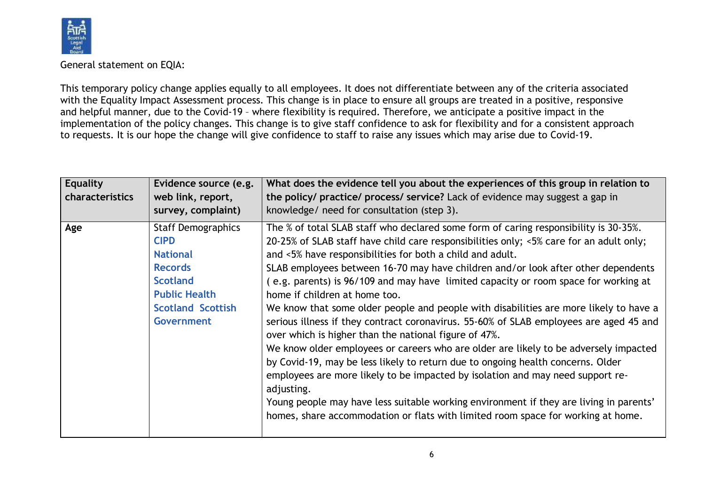

General statement on EQIA:

This temporary policy change applies equally to all employees. It does not differentiate between any of the criteria associated with the Equality Impact Assessment process. This change is in place to ensure all groups are treated in a positive, responsive and helpful manner, due to the Covid-19 – where flexibility is required. Therefore, we anticipate a positive impact in the implementation of the policy changes. This change is to give staff confidence to ask for flexibility and for a consistent approach to requests. It is our hope the change will give confidence to staff to raise any issues which may arise due to Covid-19.

| <b>Equality</b><br>characteristics | Evidence source (e.g.<br>web link, report,<br>survey, complaint)                                                                                                          | What does the evidence tell you about the experiences of this group in relation to<br>the policy/ practice/ process/ service? Lack of evidence may suggest a gap in<br>knowledge/ need for consultation (step 3).                                                                                                                                                                                                                                                                                                                                                                                                                                                                                                                                                                                                                                                                                                                                                                                                                                                                                                                                              |
|------------------------------------|---------------------------------------------------------------------------------------------------------------------------------------------------------------------------|----------------------------------------------------------------------------------------------------------------------------------------------------------------------------------------------------------------------------------------------------------------------------------------------------------------------------------------------------------------------------------------------------------------------------------------------------------------------------------------------------------------------------------------------------------------------------------------------------------------------------------------------------------------------------------------------------------------------------------------------------------------------------------------------------------------------------------------------------------------------------------------------------------------------------------------------------------------------------------------------------------------------------------------------------------------------------------------------------------------------------------------------------------------|
| Age                                | <b>Staff Demographics</b><br><b>CIPD</b><br><b>National</b><br><b>Records</b><br><b>Scotland</b><br><b>Public Health</b><br><b>Scotland Scottish</b><br><b>Government</b> | The % of total SLAB staff who declared some form of caring responsibility is 30-35%.<br>20-25% of SLAB staff have child care responsibilities only; <5% care for an adult only;<br>and <5% have responsibilities for both a child and adult.<br>SLAB employees between 16-70 may have children and/or look after other dependents<br>(e.g. parents) is 96/109 and may have limited capacity or room space for working at<br>home if children at home too.<br>We know that some older people and people with disabilities are more likely to have a<br>serious illness if they contract coronavirus. 55-60% of SLAB employees are aged 45 and<br>over which is higher than the national figure of 47%.<br>We know older employees or careers who are older are likely to be adversely impacted<br>by Covid-19, may be less likely to return due to ongoing health concerns. Older<br>employees are more likely to be impacted by isolation and may need support re-<br>adjusting.<br>Young people may have less suitable working environment if they are living in parents'<br>homes, share accommodation or flats with limited room space for working at home. |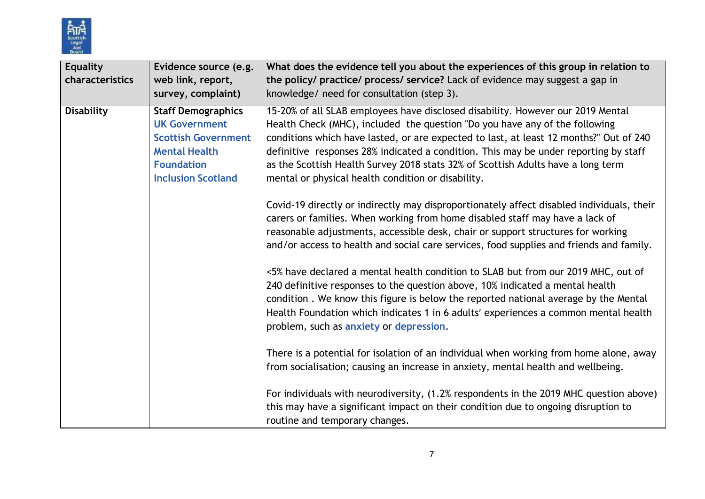

| <b>Equality</b><br>characteristics | Evidence source (e.g.<br>web link, report,<br>survey, complaint)                                                                                          | What does the evidence tell you about the experiences of this group in relation to<br>the policy/ practice/ process/ service? Lack of evidence may suggest a gap in<br>knowledge/ need for consultation (step 3).                                                                                                                                                                                                                                                                          |
|------------------------------------|-----------------------------------------------------------------------------------------------------------------------------------------------------------|--------------------------------------------------------------------------------------------------------------------------------------------------------------------------------------------------------------------------------------------------------------------------------------------------------------------------------------------------------------------------------------------------------------------------------------------------------------------------------------------|
| <b>Disability</b>                  | <b>Staff Demographics</b><br><b>UK Government</b><br><b>Scottish Government</b><br><b>Mental Health</b><br><b>Foundation</b><br><b>Inclusion Scotland</b> | 15-20% of all SLAB employees have disclosed disability. However our 2019 Mental<br>Health Check (MHC), included the question "Do you have any of the following<br>conditions which have lasted, or are expected to last, at least 12 months?" Out of 240<br>definitive responses 28% indicated a condition. This may be under reporting by staff<br>as the Scottish Health Survey 2018 stats 32% of Scottish Adults have a long term<br>mental or physical health condition or disability. |
|                                    |                                                                                                                                                           | Covid-19 directly or indirectly may disproportionately affect disabled individuals, their<br>carers or families. When working from home disabled staff may have a lack of<br>reasonable adjustments, accessible desk, chair or support structures for working<br>and/or access to health and social care services, food supplies and friends and family.                                                                                                                                   |
|                                    |                                                                                                                                                           | <5% have declared a mental health condition to SLAB but from our 2019 MHC, out of<br>240 definitive responses to the question above, 10% indicated a mental health<br>condition. We know this figure is below the reported national average by the Mental<br>Health Foundation which indicates 1 in 6 adults' experiences a common mental health<br>problem, such as anxiety or depression.                                                                                                |
|                                    |                                                                                                                                                           | There is a potential for isolation of an individual when working from home alone, away<br>from socialisation; causing an increase in anxiety, mental health and wellbeing.                                                                                                                                                                                                                                                                                                                 |
|                                    |                                                                                                                                                           | For individuals with neurodiversity, (1.2% respondents in the 2019 MHC question above)<br>this may have a significant impact on their condition due to ongoing disruption to<br>routine and temporary changes.                                                                                                                                                                                                                                                                             |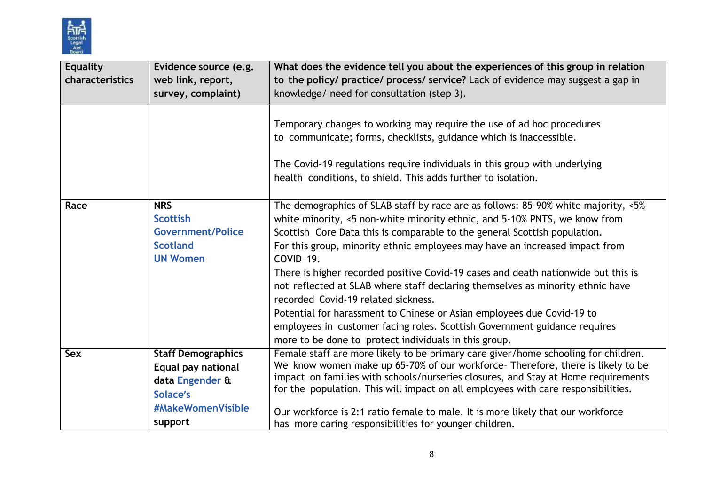

| <b>Equality</b><br>characteristics | Evidence source (e.g.<br>web link, report,<br>survey, complaint)                                               | What does the evidence tell you about the experiences of this group in relation<br>to the policy/ practice/ process/ service? Lack of evidence may suggest a gap in<br>knowledge/ need for consultation (step 3).                                                                                                                                                                                                                                                                                                                                                                                                                                                                                                                                                                  |
|------------------------------------|----------------------------------------------------------------------------------------------------------------|------------------------------------------------------------------------------------------------------------------------------------------------------------------------------------------------------------------------------------------------------------------------------------------------------------------------------------------------------------------------------------------------------------------------------------------------------------------------------------------------------------------------------------------------------------------------------------------------------------------------------------------------------------------------------------------------------------------------------------------------------------------------------------|
|                                    |                                                                                                                | Temporary changes to working may require the use of ad hoc procedures<br>to communicate; forms, checklists, guidance which is inaccessible.<br>The Covid-19 regulations require individuals in this group with underlying<br>health conditions, to shield. This adds further to isolation.                                                                                                                                                                                                                                                                                                                                                                                                                                                                                         |
| Race                               | <b>NRS</b><br><b>Scottish</b><br><b>Government/Police</b><br><b>Scotland</b><br><b>UN Women</b>                | The demographics of SLAB staff by race are as follows: 85-90% white majority, <5%<br>white minority, <5 non-white minority ethnic, and 5-10% PNTS, we know from<br>Scottish Core Data this is comparable to the general Scottish population.<br>For this group, minority ethnic employees may have an increased impact from<br>COVID <sub>19</sub> .<br>There is higher recorded positive Covid-19 cases and death nationwide but this is<br>not reflected at SLAB where staff declaring themselves as minority ethnic have<br>recorded Covid-19 related sickness.<br>Potential for harassment to Chinese or Asian employees due Covid-19 to<br>employees in customer facing roles. Scottish Government guidance requires<br>more to be done to protect individuals in this group. |
| <b>Sex</b>                         | <b>Staff Demographics</b><br>Equal pay national<br>data Engender &<br>Solace's<br>#MakeWomenVisible<br>support | Female staff are more likely to be primary care giver/home schooling for children.<br>We know women make up 65-70% of our workforce- Therefore, there is likely to be<br>impact on families with schools/nurseries closures, and Stay at Home requirements<br>for the population. This will impact on all employees with care responsibilities.<br>Our workforce is 2:1 ratio female to male. It is more likely that our workforce<br>has more caring responsibilities for younger children.                                                                                                                                                                                                                                                                                       |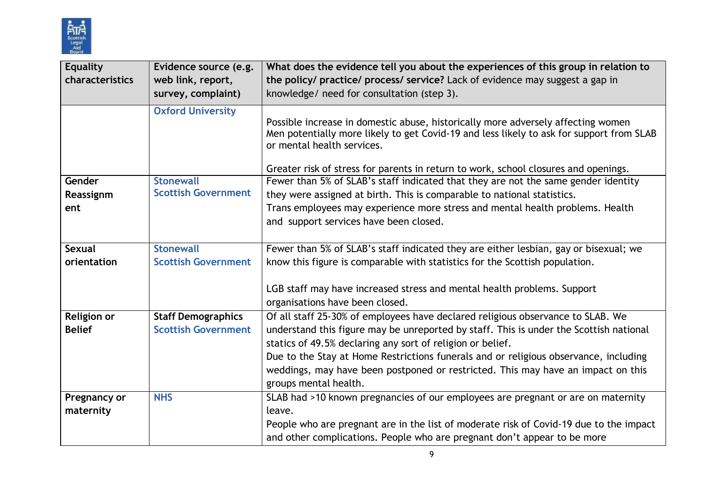

| <b>Equality</b><br>characteristics | Evidence source (e.g.<br>web link, report, | What does the evidence tell you about the experiences of this group in relation to<br>the policy/ practice/ process/ service? Lack of evidence may suggest a gap in                                                                                                                               |
|------------------------------------|--------------------------------------------|---------------------------------------------------------------------------------------------------------------------------------------------------------------------------------------------------------------------------------------------------------------------------------------------------|
|                                    | survey, complaint)                         | knowledge/ need for consultation (step 3).                                                                                                                                                                                                                                                        |
|                                    | <b>Oxford University</b>                   | Possible increase in domestic abuse, historically more adversely affecting women<br>Men potentially more likely to get Covid-19 and less likely to ask for support from SLAB<br>or mental health services.<br>Greater risk of stress for parents in return to work, school closures and openings. |
| Gender                             | <b>Stonewall</b>                           | Fewer than 5% of SLAB's staff indicated that they are not the same gender identity                                                                                                                                                                                                                |
| Reassignm                          | <b>Scottish Government</b>                 | they were assigned at birth. This is comparable to national statistics.                                                                                                                                                                                                                           |
| ent                                |                                            | Trans employees may experience more stress and mental health problems. Health                                                                                                                                                                                                                     |
|                                    |                                            | and support services have been closed.                                                                                                                                                                                                                                                            |
| <b>Sexual</b>                      | <b>Stonewall</b>                           | Fewer than 5% of SLAB's staff indicated they are either lesbian, gay or bisexual; we                                                                                                                                                                                                              |
| orientation                        | <b>Scottish Government</b>                 | know this figure is comparable with statistics for the Scottish population.                                                                                                                                                                                                                       |
|                                    |                                            |                                                                                                                                                                                                                                                                                                   |
|                                    |                                            | LGB staff may have increased stress and mental health problems. Support                                                                                                                                                                                                                           |
|                                    |                                            | organisations have been closed.                                                                                                                                                                                                                                                                   |
| <b>Religion or</b>                 | <b>Staff Demographics</b>                  | Of all staff 25-30% of employees have declared religious observance to SLAB. We                                                                                                                                                                                                                   |
| <b>Belief</b>                      | <b>Scottish Government</b>                 | understand this figure may be unreported by staff. This is under the Scottish national                                                                                                                                                                                                            |
|                                    |                                            | statics of 49.5% declaring any sort of religion or belief.                                                                                                                                                                                                                                        |
|                                    |                                            | Due to the Stay at Home Restrictions funerals and or religious observance, including                                                                                                                                                                                                              |
|                                    |                                            | weddings, may have been postponed or restricted. This may have an impact on this                                                                                                                                                                                                                  |
|                                    |                                            | groups mental health.                                                                                                                                                                                                                                                                             |
| Pregnancy or                       | <b>NHS</b>                                 | SLAB had >10 known pregnancies of our employees are pregnant or are on maternity                                                                                                                                                                                                                  |
| maternity                          |                                            | leave.                                                                                                                                                                                                                                                                                            |
|                                    |                                            | People who are pregnant are in the list of moderate risk of Covid-19 due to the impact                                                                                                                                                                                                            |
|                                    |                                            | and other complications. People who are pregnant don't appear to be more                                                                                                                                                                                                                          |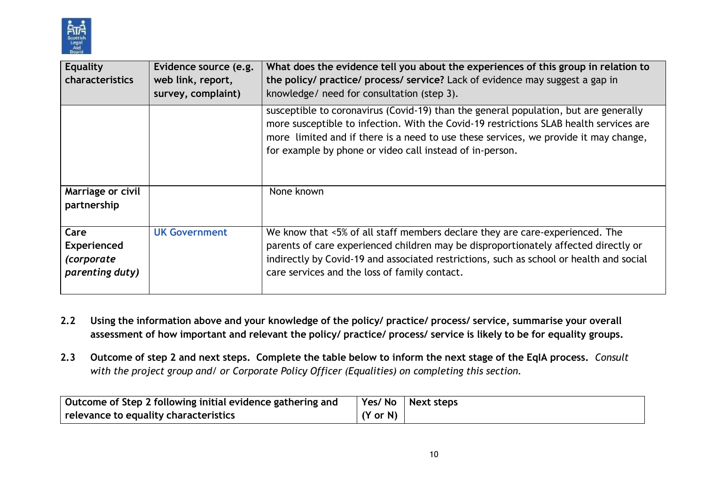

| Equality<br>characteristics                                        | Evidence source (e.g.<br>web link, report,<br>survey, complaint) | What does the evidence tell you about the experiences of this group in relation to<br>the policy/ practice/ process/ service? Lack of evidence may suggest a gap in<br>knowledge/ need for consultation (step 3).                                                                                                                  |
|--------------------------------------------------------------------|------------------------------------------------------------------|------------------------------------------------------------------------------------------------------------------------------------------------------------------------------------------------------------------------------------------------------------------------------------------------------------------------------------|
|                                                                    |                                                                  | susceptible to coronavirus (Covid-19) than the general population, but are generally<br>more susceptible to infection. With the Covid-19 restrictions SLAB health services are<br>more limited and if there is a need to use these services, we provide it may change,<br>for example by phone or video call instead of in-person. |
| Marriage or civil<br>partnership                                   |                                                                  | None known                                                                                                                                                                                                                                                                                                                         |
| Care<br><b>Experienced</b><br><i>(corporate</i><br>parenting duty) | <b>UK Government</b>                                             | We know that <5% of all staff members declare they are care-experienced. The<br>parents of care experienced children may be disproportionately affected directly or<br>indirectly by Covid-19 and associated restrictions, such as school or health and social<br>care services and the loss of family contact.                    |

- 2.2 Using the information above and your knowledge of the policy/ practice/ process/ service, summarise your overall assessment of how important and relevant the policy/ practice/ process/ service is likely to be for equality groups.
- 2.3 Outcome of step 2 and next steps. Complete the table below to inform the next stage of the EqIA process. Consult *with the project group and/ or Corporate Policy Officer (Equalities) on completing this section.*

| Outcome of Step 2 following initial evidence gathering and |                     | Yes/No Next steps |
|------------------------------------------------------------|---------------------|-------------------|
| relevance to equality characteristics                      | $(Y \text{ or } N)$ |                   |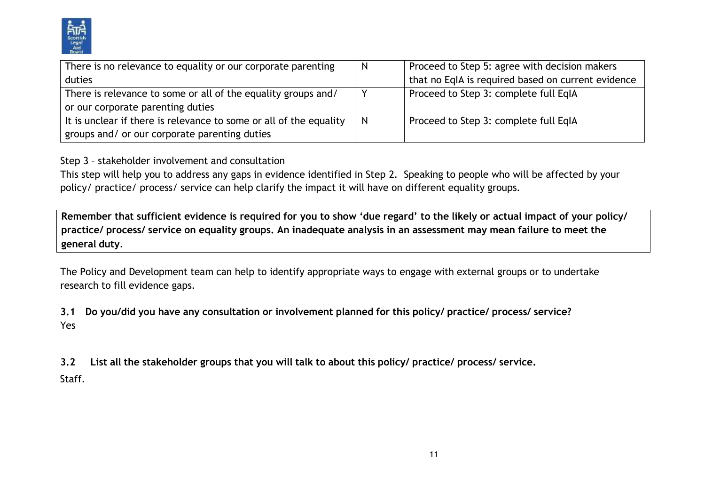

| There is no relevance to equality or our corporate parenting       | $\mathsf{N}$ | Proceed to Step 5: agree with decision makers      |
|--------------------------------------------------------------------|--------------|----------------------------------------------------|
| duties                                                             |              | that no EqIA is required based on current evidence |
| There is relevance to some or all of the equality groups and/      |              | Proceed to Step 3: complete full EqIA              |
| or our corporate parenting duties                                  |              |                                                    |
| It is unclear if there is relevance to some or all of the equality | - N          | Proceed to Step 3: complete full EqIA              |
| groups and/ or our corporate parenting duties                      |              |                                                    |

Step 3 – stakeholder involvement and consultation

This step will help you to address any gaps in evidence identified in Step 2. Speaking to people who will be affected by your policy/ practice/ process/ service can help clarify the impact it will have on different equality groups.

Remember that sufficient evidence is required for you to show 'due regard' to the likely or actual impact of your policy/ practice/ process/ service on equality groups. An inadequate analysis in an assessment may mean failure to meet the **general duty**.

The Policy and Development team can help to identify appropriate ways to engage with external groups or to undertake research to fill evidence gaps.

**3.1 Do you/did you have any consultation or involvement planned for this policy/ practice/ process/ service?** Yes

**3.2 List all the stakeholder groups that you will talk to about this policy/ practice/ process/ service.**

Staff.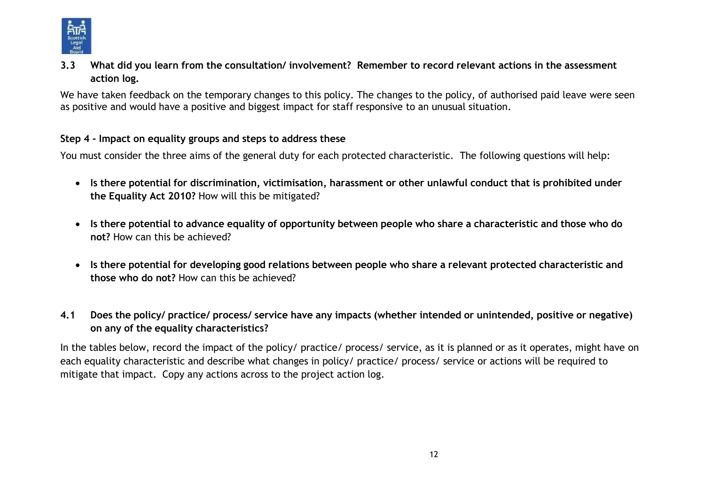

3.3 What did you learn from the consultation/ involvement? Remember to record relevant actions in the assessment **action log.**

We have taken feedback on the temporary changes to this policy. The changes to the policy, of authorised paid leave were seen as positive and would have a positive and biggest impact for staff responsive to an unusual situation.

#### **Step 4 - Impact on equality groups and steps to address these**

You must consider the three aims of the general duty for each protected characteristic. The following questions will help:

- **Is there potential for discrimination, victimisation, harassment or other unlawful conduct that is prohibited under the Equality Act 2010?** How will this be mitigated?
- Is there potential to advance equality of opportunity between people who share a characteristic and those who do **not?** How can this be achieved?
- **Is there potential for developing good relations between people who share a relevant protected characteristic and those who do not?** How can this be achieved?
- 4.1 Does the policy/ practice/ process/ service have any impacts (whether intended or unintended, positive or negative) **on any of the equality characteristics?**

In the tables below, record the impact of the policy/ practice/ process/ service, as it is planned or as it operates, might have on each equality characteristic and describe what changes in policy/ practice/ process/ service or actions will be required to mitigate that impact. Copy any actions across to the project action log.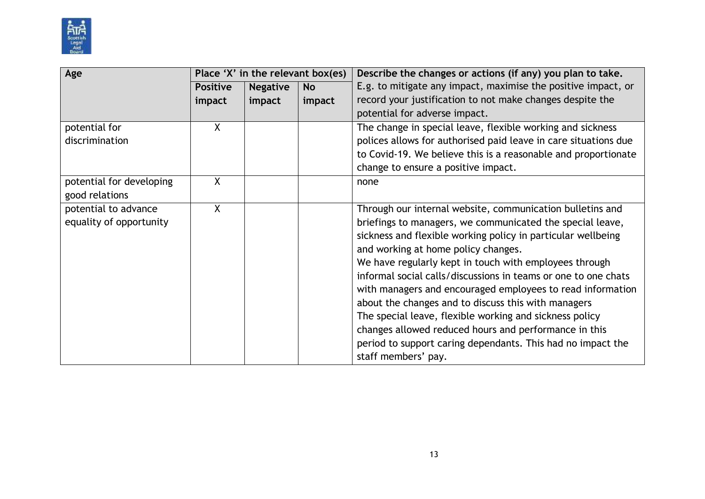

| Age                      | Place 'X' in the relevant box(es) |                 |           | Describe the changes or actions (if any) you plan to take.      |
|--------------------------|-----------------------------------|-----------------|-----------|-----------------------------------------------------------------|
|                          | <b>Positive</b>                   | <b>Negative</b> | <b>No</b> | E.g. to mitigate any impact, maximise the positive impact, or   |
|                          | impact                            | impact          | impact    | record your justification to not make changes despite the       |
|                          |                                   |                 |           | potential for adverse impact.                                   |
| potential for            | $\mathsf{X}$                      |                 |           | The change in special leave, flexible working and sickness      |
| discrimination           |                                   |                 |           | polices allows for authorised paid leave in care situations due |
|                          |                                   |                 |           | to Covid-19. We believe this is a reasonable and proportionate  |
|                          |                                   |                 |           | change to ensure a positive impact.                             |
| potential for developing | X                                 |                 |           | none                                                            |
| good relations           |                                   |                 |           |                                                                 |
| potential to advance     | $\mathsf{X}$                      |                 |           | Through our internal website, communication bulletins and       |
| equality of opportunity  |                                   |                 |           | briefings to managers, we communicated the special leave,       |
|                          |                                   |                 |           | sickness and flexible working policy in particular wellbeing    |
|                          |                                   |                 |           | and working at home policy changes.                             |
|                          |                                   |                 |           | We have regularly kept in touch with employees through          |
|                          |                                   |                 |           | informal social calls/discussions in teams or one to one chats  |
|                          |                                   |                 |           | with managers and encouraged employees to read information      |
|                          |                                   |                 |           | about the changes and to discuss this with managers             |
|                          |                                   |                 |           | The special leave, flexible working and sickness policy         |
|                          |                                   |                 |           | changes allowed reduced hours and performance in this           |
|                          |                                   |                 |           | period to support caring dependants. This had no impact the     |
|                          |                                   |                 |           | staff members' pay.                                             |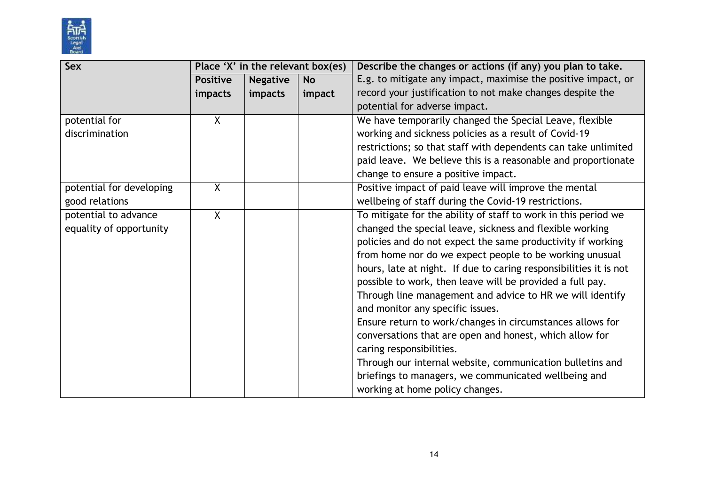

| Sex                      | Place 'X' in the relevant box(es) |                 |           | Describe the changes or actions (if any) you plan to take.        |
|--------------------------|-----------------------------------|-----------------|-----------|-------------------------------------------------------------------|
|                          | <b>Positive</b>                   | <b>Negative</b> | <b>No</b> | E.g. to mitigate any impact, maximise the positive impact, or     |
|                          | impacts                           | impacts         | impact    | record your justification to not make changes despite the         |
|                          |                                   |                 |           | potential for adverse impact.                                     |
| potential for            | $\mathsf{X}$                      |                 |           | We have temporarily changed the Special Leave, flexible           |
| discrimination           |                                   |                 |           | working and sickness policies as a result of Covid-19             |
|                          |                                   |                 |           | restrictions; so that staff with dependents can take unlimited    |
|                          |                                   |                 |           | paid leave. We believe this is a reasonable and proportionate     |
|                          |                                   |                 |           | change to ensure a positive impact.                               |
| potential for developing | $\mathsf{X}$                      |                 |           | Positive impact of paid leave will improve the mental             |
| good relations           |                                   |                 |           | wellbeing of staff during the Covid-19 restrictions.              |
| potential to advance     | $\overline{X}$                    |                 |           | To mitigate for the ability of staff to work in this period we    |
| equality of opportunity  |                                   |                 |           | changed the special leave, sickness and flexible working          |
|                          |                                   |                 |           | policies and do not expect the same productivity if working       |
|                          |                                   |                 |           | from home nor do we expect people to be working unusual           |
|                          |                                   |                 |           | hours, late at night. If due to caring responsibilities it is not |
|                          |                                   |                 |           | possible to work, then leave will be provided a full pay.         |
|                          |                                   |                 |           | Through line management and advice to HR we will identify         |
|                          |                                   |                 |           | and monitor any specific issues.                                  |
|                          |                                   |                 |           | Ensure return to work/changes in circumstances allows for         |
|                          |                                   |                 |           | conversations that are open and honest, which allow for           |
|                          |                                   |                 |           | caring responsibilities.                                          |
|                          |                                   |                 |           | Through our internal website, communication bulletins and         |
|                          |                                   |                 |           | briefings to managers, we communicated wellbeing and              |
|                          |                                   |                 |           | working at home policy changes.                                   |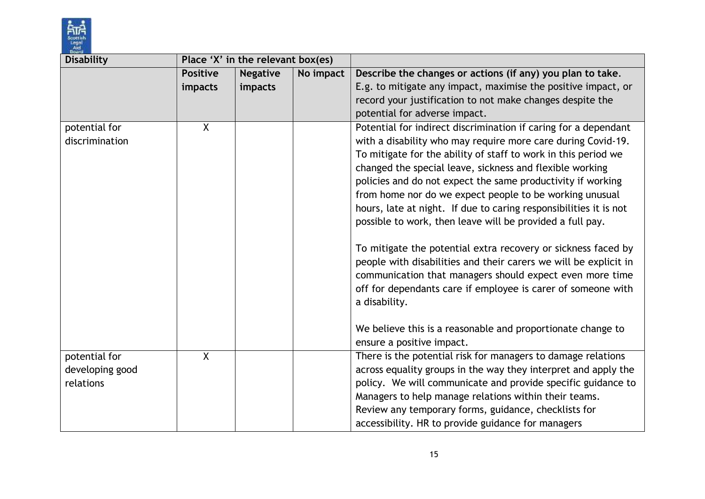

| <b>Disability</b> |                 | Place 'X' in the relevant box(es) |           |                                                                   |
|-------------------|-----------------|-----------------------------------|-----------|-------------------------------------------------------------------|
|                   | <b>Positive</b> | <b>Negative</b>                   | No impact | Describe the changes or actions (if any) you plan to take.        |
|                   | impacts         | impacts                           |           | E.g. to mitigate any impact, maximise the positive impact, or     |
|                   |                 |                                   |           | record your justification to not make changes despite the         |
|                   |                 |                                   |           | potential for adverse impact.                                     |
| potential for     | $\overline{X}$  |                                   |           | Potential for indirect discrimination if caring for a dependant   |
| discrimination    |                 |                                   |           | with a disability who may require more care during Covid-19.      |
|                   |                 |                                   |           | To mitigate for the ability of staff to work in this period we    |
|                   |                 |                                   |           | changed the special leave, sickness and flexible working          |
|                   |                 |                                   |           | policies and do not expect the same productivity if working       |
|                   |                 |                                   |           | from home nor do we expect people to be working unusual           |
|                   |                 |                                   |           | hours, late at night. If due to caring responsibilities it is not |
|                   |                 |                                   |           | possible to work, then leave will be provided a full pay.         |
|                   |                 |                                   |           |                                                                   |
|                   |                 |                                   |           | To mitigate the potential extra recovery or sickness faced by     |
|                   |                 |                                   |           | people with disabilities and their carers we will be explicit in  |
|                   |                 |                                   |           | communication that managers should expect even more time          |
|                   |                 |                                   |           | off for dependants care if employee is carer of someone with      |
|                   |                 |                                   |           | a disability.                                                     |
|                   |                 |                                   |           |                                                                   |
|                   |                 |                                   |           | We believe this is a reasonable and proportionate change to       |
|                   |                 |                                   |           | ensure a positive impact.                                         |
| potential for     | $\sf X$         |                                   |           | There is the potential risk for managers to damage relations      |
| developing good   |                 |                                   |           | across equality groups in the way they interpret and apply the    |
| relations         |                 |                                   |           | policy. We will communicate and provide specific guidance to      |
|                   |                 |                                   |           | Managers to help manage relations within their teams.             |
|                   |                 |                                   |           | Review any temporary forms, guidance, checklists for              |
|                   |                 |                                   |           | accessibility. HR to provide guidance for managers                |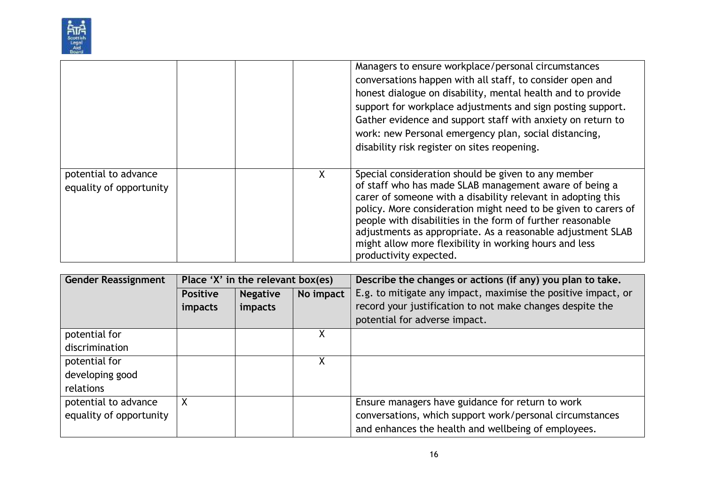

|                                                 |   | Managers to ensure workplace/personal circumstances<br>conversations happen with all staff, to consider open and<br>honest dialogue on disability, mental health and to provide<br>support for workplace adjustments and sign posting support.<br>Gather evidence and support staff with anxiety on return to<br>work: new Personal emergency plan, social distancing,<br>disability risk register on sites reopening.                                           |
|-------------------------------------------------|---|------------------------------------------------------------------------------------------------------------------------------------------------------------------------------------------------------------------------------------------------------------------------------------------------------------------------------------------------------------------------------------------------------------------------------------------------------------------|
| potential to advance<br>equality of opportunity | X | Special consideration should be given to any member<br>of staff who has made SLAB management aware of being a<br>carer of someone with a disability relevant in adopting this<br>policy. More consideration might need to be given to carers of<br>people with disabilities in the form of further reasonable<br>adjustments as appropriate. As a reasonable adjustment SLAB<br>might allow more flexibility in working hours and less<br>productivity expected. |

| <b>Gender Reassignment</b> |                 | Place 'X' in the relevant box(es) |           | Describe the changes or actions (if any) you plan to take.    |
|----------------------------|-----------------|-----------------------------------|-----------|---------------------------------------------------------------|
|                            | <b>Positive</b> | <b>Negative</b>                   | No impact | E.g. to mitigate any impact, maximise the positive impact, or |
|                            | impacts         | impacts                           |           | record your justification to not make changes despite the     |
|                            |                 |                                   |           | potential for adverse impact.                                 |
| potential for              |                 |                                   |           |                                                               |
| discrimination             |                 |                                   |           |                                                               |
| potential for              |                 |                                   | Χ         |                                                               |
| developing good            |                 |                                   |           |                                                               |
| relations                  |                 |                                   |           |                                                               |
| potential to advance       | X               |                                   |           | Ensure managers have guidance for return to work              |
| equality of opportunity    |                 |                                   |           | conversations, which support work/personal circumstances      |
|                            |                 |                                   |           | and enhances the health and wellbeing of employees.           |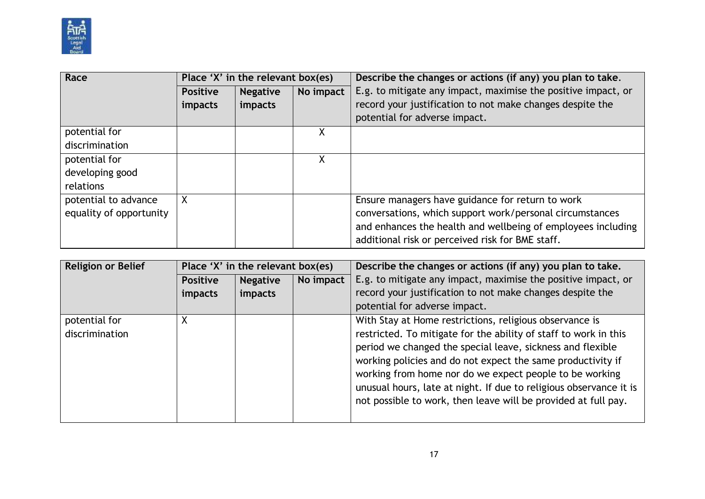

| Race                    | Place 'X' in the relevant box(es) |                 |           | Describe the changes or actions (if any) you plan to take.    |
|-------------------------|-----------------------------------|-----------------|-----------|---------------------------------------------------------------|
|                         | <b>Positive</b>                   | <b>Negative</b> | No impact | E.g. to mitigate any impact, maximise the positive impact, or |
|                         | impacts                           | impacts         |           | record your justification to not make changes despite the     |
|                         |                                   |                 |           | potential for adverse impact.                                 |
| potential for           |                                   |                 | Χ         |                                                               |
| discrimination          |                                   |                 |           |                                                               |
| potential for           |                                   |                 | Χ         |                                                               |
| developing good         |                                   |                 |           |                                                               |
| relations               |                                   |                 |           |                                                               |
| potential to advance    | X                                 |                 |           | Ensure managers have guidance for return to work              |
| equality of opportunity |                                   |                 |           | conversations, which support work/personal circumstances      |
|                         |                                   |                 |           | and enhances the health and wellbeing of employees including  |
|                         |                                   |                 |           | additional risk or perceived risk for BME staff.              |

| <b>Religion or Belief</b> | Place 'X' in the relevant box(es) |                 |           | Describe the changes or actions (if any) you plan to take.         |
|---------------------------|-----------------------------------|-----------------|-----------|--------------------------------------------------------------------|
|                           | <b>Positive</b>                   | <b>Negative</b> | No impact | E.g. to mitigate any impact, maximise the positive impact, or      |
|                           | <i>impacts</i>                    | impacts         |           | record your justification to not make changes despite the          |
|                           |                                   |                 |           | potential for adverse impact.                                      |
| potential for             |                                   |                 |           | With Stay at Home restrictions, religious observance is            |
| discrimination            |                                   |                 |           | restricted. To mitigate for the ability of staff to work in this   |
|                           |                                   |                 |           | period we changed the special leave, sickness and flexible         |
|                           |                                   |                 |           | working policies and do not expect the same productivity if        |
|                           |                                   |                 |           | working from home nor do we expect people to be working            |
|                           |                                   |                 |           | unusual hours, late at night. If due to religious observance it is |
|                           |                                   |                 |           | not possible to work, then leave will be provided at full pay.     |
|                           |                                   |                 |           |                                                                    |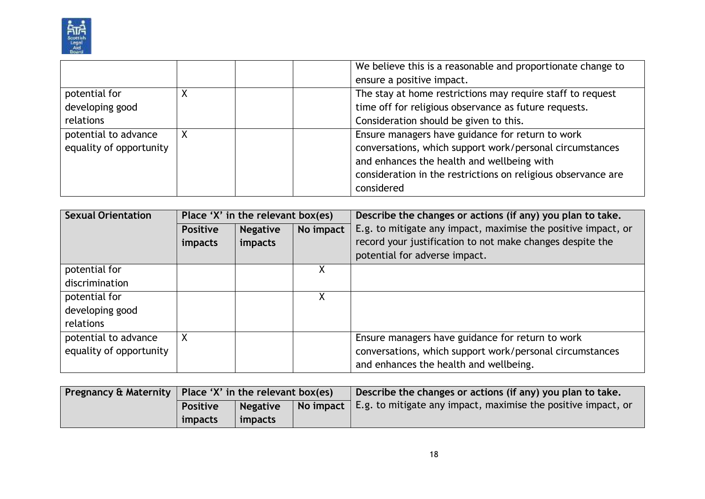

|                         | We believe this is a reasonable and proportionate change to   |
|-------------------------|---------------------------------------------------------------|
|                         | ensure a positive impact.                                     |
| potential for           | The stay at home restrictions may require staff to request    |
| developing good         | time off for religious observance as future requests.         |
| relations               | Consideration should be given to this.                        |
| potential to advance    | Ensure managers have guidance for return to work              |
| equality of opportunity | conversations, which support work/personal circumstances      |
|                         | and enhances the health and wellbeing with                    |
|                         | consideration in the restrictions on religious observance are |
|                         | considered                                                    |

| <b>Sexual Orientation</b>                       | Place 'X' in the relevant box(es) |                            |           | Describe the changes or actions (if any) you plan to take.                                                                                                  |
|-------------------------------------------------|-----------------------------------|----------------------------|-----------|-------------------------------------------------------------------------------------------------------------------------------------------------------------|
|                                                 | <b>Positive</b><br>impacts        | <b>Negative</b><br>impacts | No impact | E.g. to mitigate any impact, maximise the positive impact, or<br>record your justification to not make changes despite the<br>potential for adverse impact. |
| potential for                                   |                                   |                            | X         |                                                                                                                                                             |
| discrimination                                  |                                   |                            |           |                                                                                                                                                             |
| potential for                                   |                                   |                            | χ         |                                                                                                                                                             |
| developing good                                 |                                   |                            |           |                                                                                                                                                             |
| relations                                       |                                   |                            |           |                                                                                                                                                             |
| potential to advance<br>equality of opportunity | X                                 |                            |           | Ensure managers have guidance for return to work<br>conversations, which support work/personal circumstances<br>and enhances the health and wellbeing.      |

| Pregnancy & Maternity   Place 'X' in the relevant box(es) |                 |  | Describe the changes or actions (if any) you plan to take.                              |
|-----------------------------------------------------------|-----------------|--|-----------------------------------------------------------------------------------------|
| <b>Positive</b>                                           | <b>Negative</b> |  | $\vert$ No impact $\vert$ E.g. to mitigate any impact, maximise the positive impact, or |
| impacts                                                   | <i>impacts</i>  |  |                                                                                         |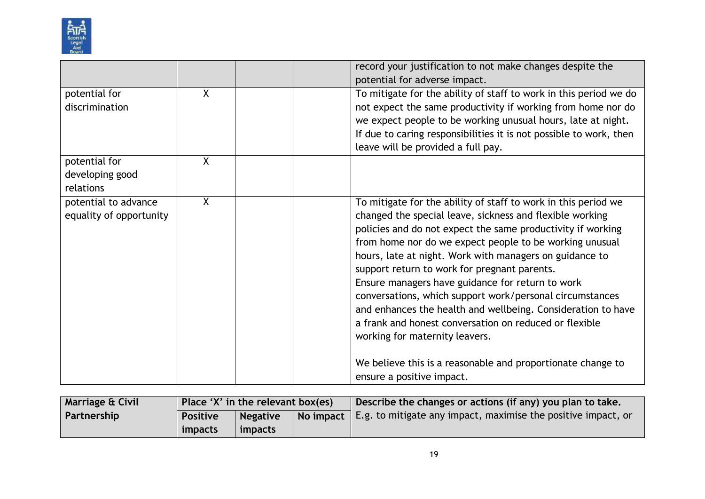

|                                                 |         | record your justification to not make changes despite the<br>potential for adverse impact.                                                                                                                                                                                                                                                                                                                                                                                                                                                                                                                                                                                                                                              |
|-------------------------------------------------|---------|-----------------------------------------------------------------------------------------------------------------------------------------------------------------------------------------------------------------------------------------------------------------------------------------------------------------------------------------------------------------------------------------------------------------------------------------------------------------------------------------------------------------------------------------------------------------------------------------------------------------------------------------------------------------------------------------------------------------------------------------|
| potential for<br>discrimination                 | X       | To mitigate for the ability of staff to work in this period we do<br>not expect the same productivity if working from home nor do<br>we expect people to be working unusual hours, late at night.<br>If due to caring responsibilities it is not possible to work, then<br>leave will be provided a full pay.                                                                                                                                                                                                                                                                                                                                                                                                                           |
| potential for<br>developing good<br>relations   | $\sf X$ |                                                                                                                                                                                                                                                                                                                                                                                                                                                                                                                                                                                                                                                                                                                                         |
| potential to advance<br>equality of opportunity | $\sf X$ | To mitigate for the ability of staff to work in this period we<br>changed the special leave, sickness and flexible working<br>policies and do not expect the same productivity if working<br>from home nor do we expect people to be working unusual<br>hours, late at night. Work with managers on guidance to<br>support return to work for pregnant parents.<br>Ensure managers have guidance for return to work<br>conversations, which support work/personal circumstances<br>and enhances the health and wellbeing. Consideration to have<br>a frank and honest conversation on reduced or flexible<br>working for maternity leavers.<br>We believe this is a reasonable and proportionate change to<br>ensure a positive impact. |

| <b>Marriage &amp; Civil</b> | Place 'X' in the relevant box(es) |                 |  | Describe the changes or actions (if any) you plan to take.                              |
|-----------------------------|-----------------------------------|-----------------|--|-----------------------------------------------------------------------------------------|
| Partnership                 | Positive                          | <b>Negative</b> |  | $\vert$ No impact $\vert$ E.g. to mitigate any impact, maximise the positive impact, or |
|                             | impacts                           | <i>impacts</i>  |  |                                                                                         |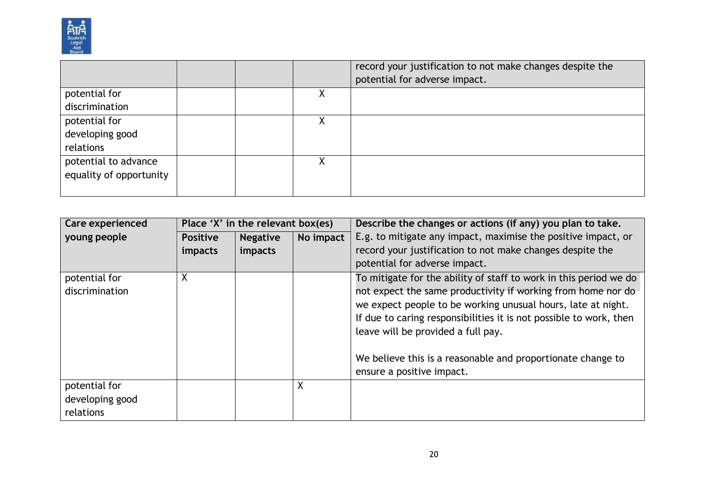

|                         |  |   | record your justification to not make changes despite the |
|-------------------------|--|---|-----------------------------------------------------------|
|                         |  |   | potential for adverse impact.                             |
| potential for           |  | Χ |                                                           |
| discrimination          |  |   |                                                           |
| potential for           |  |   |                                                           |
| developing good         |  |   |                                                           |
| relations               |  |   |                                                           |
| potential to advance    |  |   |                                                           |
| equality of opportunity |  |   |                                                           |
|                         |  |   |                                                           |

| <b>Care experienced</b>                       |                            | Place 'X' in the relevant box(es) |           | Describe the changes or actions (if any) you plan to take.                                                                                                                                                                                                                                                                                                                                                |
|-----------------------------------------------|----------------------------|-----------------------------------|-----------|-----------------------------------------------------------------------------------------------------------------------------------------------------------------------------------------------------------------------------------------------------------------------------------------------------------------------------------------------------------------------------------------------------------|
| young people                                  | <b>Positive</b><br>impacts | <b>Negative</b><br>impacts        | No impact | E.g. to mitigate any impact, maximise the positive impact, or<br>record your justification to not make changes despite the<br>potential for adverse impact.                                                                                                                                                                                                                                               |
| potential for<br>discrimination               | Χ                          |                                   |           | To mitigate for the ability of staff to work in this period we do<br>not expect the same productivity if working from home nor do<br>we expect people to be working unusual hours, late at night.<br>If due to caring responsibilities it is not possible to work, then<br>leave will be provided a full pay.<br>We believe this is a reasonable and proportionate change to<br>ensure a positive impact. |
| potential for<br>developing good<br>relations |                            |                                   | χ         |                                                                                                                                                                                                                                                                                                                                                                                                           |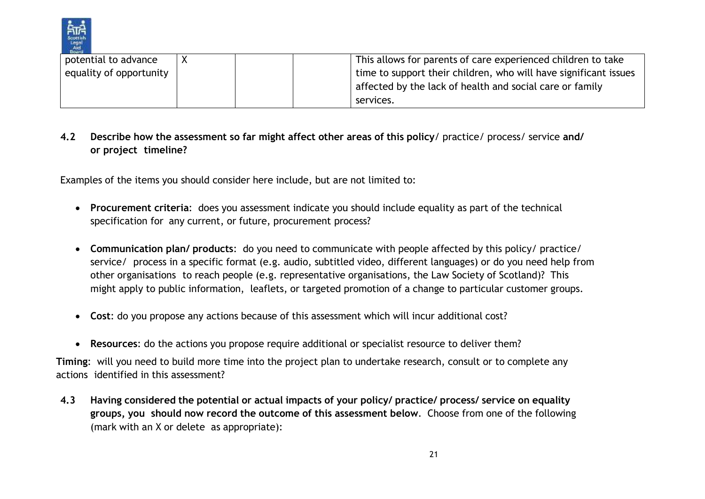

| potential to advance    |  | This allows for parents of care experienced children to take     |
|-------------------------|--|------------------------------------------------------------------|
| equality of opportunity |  | time to support their children, who will have significant issues |
|                         |  | affected by the lack of health and social care or family         |
|                         |  | services.                                                        |

## **4.2 Describe how the assessment so far might affect other areas of this policy**/ practice/ process/ service **and/ or project timeline?**

Examples of the items you should consider here include, but are not limited to:

- **Procurement criteria**: does you assessment indicate you should include equality as part of the technical specification for any current, or future, procurement process?
- **Communication plan/ products**: do you need to communicate with people affected by this policy/ practice/ service/ process in a specific format (e.g. audio, subtitled video, different languages) or do you need help from other organisations to reach people (e.g. representative organisations, the Law Society of Scotland)? This might apply to public information, leaflets, or targeted promotion of a change to particular customer groups.
- **Cost**: do you propose any actions because of this assessment which will incur additional cost?
- **Resources**: do the actions you propose require additional or specialist resource to deliver them?

**Timing**: will you need to build more time into the project plan to undertake research, consult or to complete any actions identified in this assessment?

**4.3 Having considered the potential or actual impacts of your policy/ practice/ process/ service on equality groups, you should now record the outcome of this assessment below**. Choose from one of the following (mark with an X or delete as appropriate):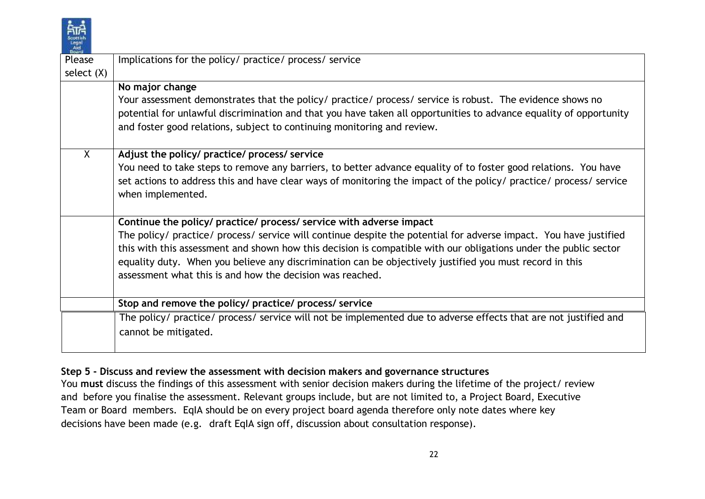| Scottish    |
|-------------|
| Lega<br>Aid |
|             |

| Board        |                                                                                                                                         |
|--------------|-----------------------------------------------------------------------------------------------------------------------------------------|
| Please       | Implications for the policy/ practice/ process/ service                                                                                 |
| select $(X)$ |                                                                                                                                         |
|              | No major change                                                                                                                         |
|              | Your assessment demonstrates that the policy/ practice/ process/ service is robust. The evidence shows no                               |
|              | potential for unlawful discrimination and that you have taken all opportunities to advance equality of opportunity                      |
|              | and foster good relations, subject to continuing monitoring and review.                                                                 |
| $\sf X$      | Adjust the policy/ practice/ process/ service                                                                                           |
|              | You need to take steps to remove any barriers, to better advance equality of to foster good relations. You have                         |
|              | set actions to address this and have clear ways of monitoring the impact of the policy/ practice/ process/ service<br>when implemented. |
|              | Continue the policy/ practice/ process/ service with adverse impact                                                                     |
|              | The policy/ practice/ process/ service will continue despite the potential for adverse impact. You have justified                       |
|              | this with this assessment and shown how this decision is compatible with our obligations under the public sector                        |
|              | equality duty. When you believe any discrimination can be objectively justified you must record in this                                 |
|              | assessment what this is and how the decision was reached.                                                                               |
|              | Stop and remove the policy/ practice/ process/ service                                                                                  |
|              | The policy/ practice/ process/ service will not be implemented due to adverse effects that are not justified and                        |
|              | cannot be mitigated.                                                                                                                    |
|              |                                                                                                                                         |

#### **Step 5 - Discuss and review the assessment with decision makers and governance structures**

You **must** discuss the findings of this assessment with senior decision makers during the lifetime of the project/ review and before you finalise the assessment. Relevant groups include, but are not limited to, a Project Board, Executive Team or Board members. EqIA should be on every project board agenda therefore only note dates where key decisions have been made (e.g. draft EqIA sign off, discussion about consultation response).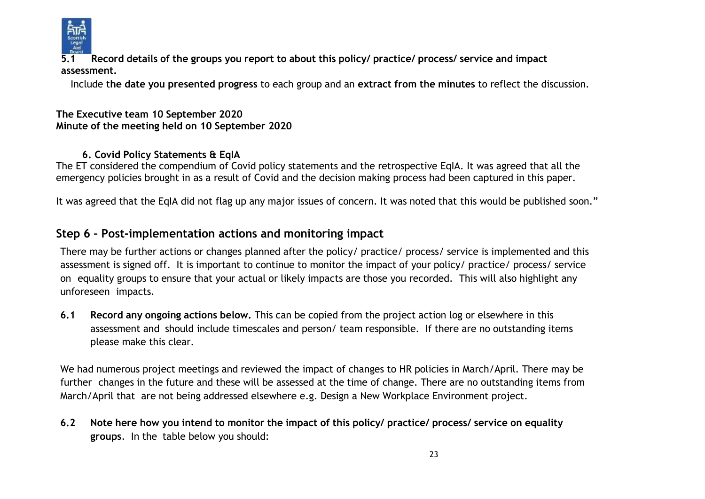

**5.1 Record details of the groups you report to about this policy/ practice/ process/ service and impact assessment.**

Include t**he date you presented progress** to each group and an **extract from the minutes** to reflect the discussion.

#### **The Executive team 10 September 2020 Minute of the meeting held on 10 September 2020**

## **6. Covid Policy Statements & EqIA**

The ET considered the compendium of Covid policy statements and the retrospective EqIA. It was agreed that all the emergency policies brought in as a result of Covid and the decision making process had been captured in this paper.

It was agreed that the EqIA did not flag up any major issues of concern. It was noted that this would be published soon."

## **Step 6 – Post-implementation actions and monitoring impact**

There may be further actions or changes planned after the policy/ practice/ process/ service is implemented and this assessment is signed off. It is important to continue to monitor the impact of your policy/ practice/ process/ service on equality groups to ensure that your actual or likely impacts are those you recorded. This will also highlight any unforeseen impacts.

**6.1 Record any ongoing actions below.** This can be copied from the project action log or elsewhere in this assessment and should include timescales and person/ team responsible. If there are no outstanding items please make this clear.

We had numerous project meetings and reviewed the impact of changes to HR policies in March/April. There may be further changes in the future and these will be assessed at the time of change. There are no outstanding items from March/April that are not being addressed elsewhere e.g. Design a New Workplace Environment project.

6.2 Note here how you intend to monitor the impact of this policy/ practice/ process/ service on equality **groups**. In the table below you should: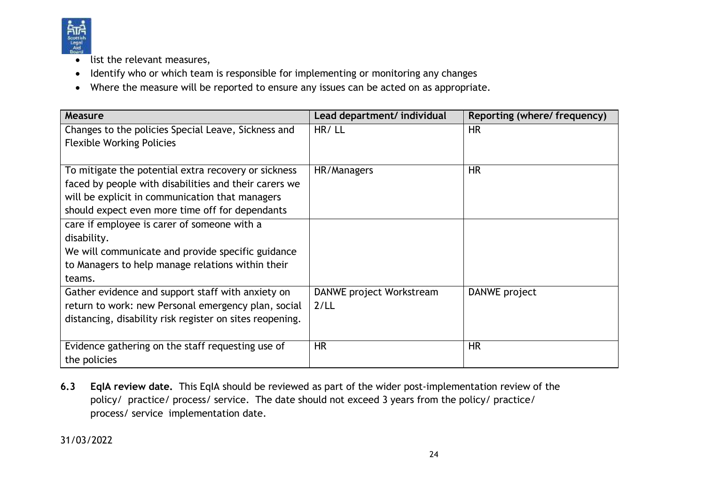

- list the relevant measures,
- Identify who or which team is responsible for implementing or monitoring any changes
- Where the measure will be reported to ensure any issues can be acted on as appropriate.

| Measure                                                  | Lead department/ individual | Reporting (where/ frequency) |
|----------------------------------------------------------|-----------------------------|------------------------------|
| Changes to the policies Special Leave, Sickness and      | HR/LL                       | HR.                          |
| <b>Flexible Working Policies</b>                         |                             |                              |
|                                                          |                             |                              |
| To mitigate the potential extra recovery or sickness     | HR/Managers                 | <b>HR</b>                    |
| faced by people with disabilities and their carers we    |                             |                              |
| will be explicit in communication that managers          |                             |                              |
| should expect even more time off for dependants          |                             |                              |
| care if employee is carer of someone with a              |                             |                              |
| disability.                                              |                             |                              |
| We will communicate and provide specific guidance        |                             |                              |
| to Managers to help manage relations within their        |                             |                              |
| teams.                                                   |                             |                              |
| Gather evidence and support staff with anxiety on        | DANWE project Workstream    | DANWE project                |
| return to work: new Personal emergency plan, social      | 2/LL                        |                              |
| distancing, disability risk register on sites reopening. |                             |                              |
|                                                          |                             |                              |
| Evidence gathering on the staff requesting use of        | <b>HR</b>                   | <b>HR</b>                    |
| the policies                                             |                             |                              |

**6.3 EqIA review date.** This EqIA should be reviewed as part of the wider post-implementation review of the policy/ practice/ process/ service. The date should not exceed 3 years from the policy/ practice/ process/ service implementation date.

31/03/2022